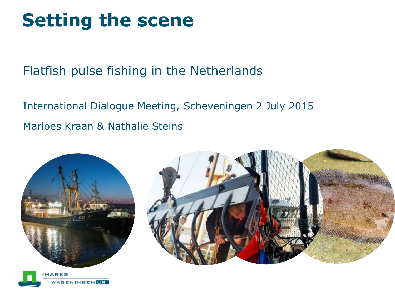# **Setting the scene**

Flatfish pulse fishing in the Netherlands

International Dialogue Meeting, Scheveningen 2 July 2015 Marloes Kraan & Nathalie Steins





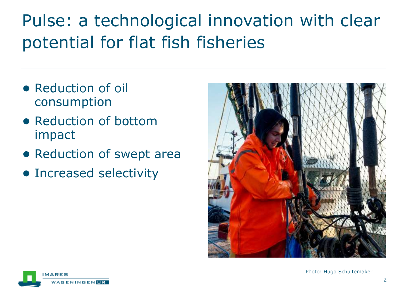# Pulse: a technological innovation with clear potential for flat fish fisheries

- Reduction of oil consumption
- Reduction of bottom impact
- Reduction of swept area
- Increased selectivity



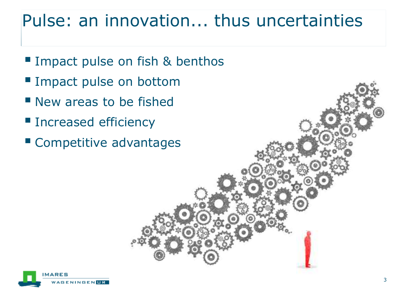### Pulse: an innovation... thus uncertainties

- **Impact pulse on fish & benthos**
- **Impact pulse on bottom**
- **New areas to be fished**
- **Increased efficiency**
- Competitive advantages

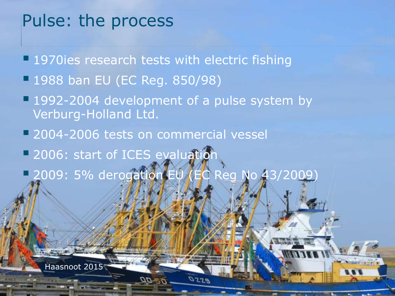#### Pulse: the process

**1970ies research tests with electric fishing** 

- 1988 ban EU (EC Reg. 850/98)
- **1992-2004 development of a pulse system by** Verburg-Holland Ltd.
- **2004-2006 tests on commercial vessel**
- **2006: start of ICES evaluation**

Haasnoot 2015

**2009: 5% derogation EU (EC Reg No 43/2009)** 

 $0729$ 

4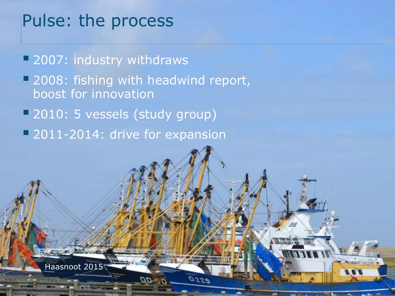#### Pulse: the process

Haasnoot 2015

**2007: industry withdraws** 

**2008: fishing with headwind report,** boost for innovation

 $0729$ 

5

- 2010: 5 vessels (study group)
- **2011-2014: drive for expansion**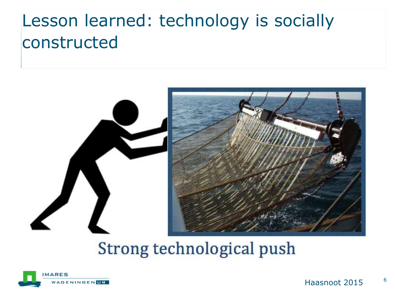## Lesson learned: technology is socially constructed



#### Strong technological push

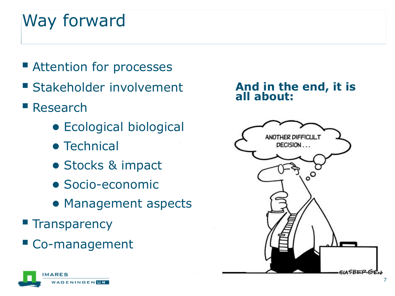# Way forward

- **Execute Attention for processes**
- **Stakeholder involvement**
- Research
	- Ecological biological
	- Technical
	- Stocks & impact
	- Socio-economic
	- Management aspects
- **Transparency**
- Co-management